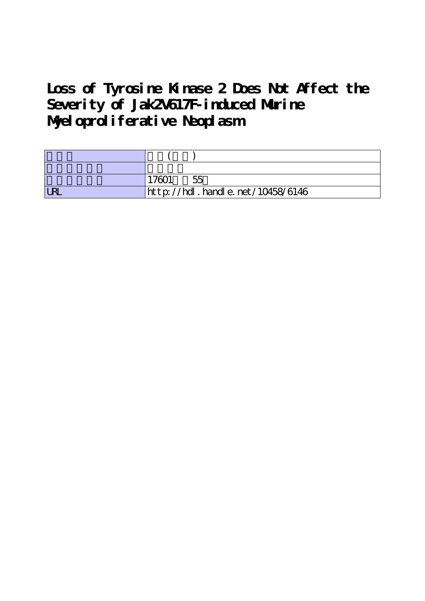# **Loss of Tyrosine Kinase 2 Does Not Affect the Severity of Jak2V617F-induced Murine Myeloproliferative Neoplasm**

|            | 55                               |
|------------|----------------------------------|
| <b>LRL</b> | http://hdl.handle.net/10458/6146 |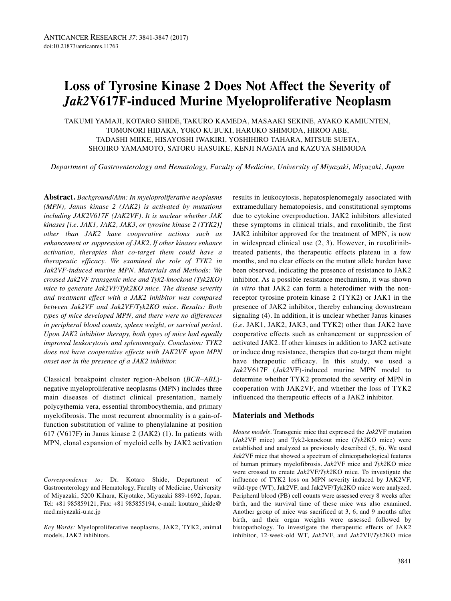# **Loss of Tyrosine Kinase 2 Does Not Affect the Severity of** *Jak2***V617F-induced Murine Myeloproliferative Neoplasm**

TAKUMI YAMAJI, KOTARO SHIDE, TAKURO KAMEDA, MASAAKI SEKINE, AYAKO KAMIUNTEN, TOMONORI HIDAKA, YOKO KUBUKI, HARUKO SHIMODA, HIROO ABE, TADASHI MIIKE, HISAYOSHI IWAKIRI, YOSHIHIRO TAHARA, MITSUE SUETA, SHOJIRO YAMAMOTO, SATORU HASUIKE, KENJI NAGATA and KAZUYA SHIMODA

*Department of Gastroenterology and Hematology, Faculty of Medicine, University of Miyazaki, Miyazaki, Japan*

**Abstract.** *Background/Aim: In myeloproliferative neoplasms (MPN), Janus kinase 2 (JAK2) is activated by mutations including JAK2V617F (JAK2VF). It is unclear whether JAK kinases [i.e. JAK1, JAK2, JAK3, or tyrosine kinase 2 (TYK2)] other than JAK2 have cooperative actions such as enhancement or suppression of JAK2. If other kinases enhance activation, therapies that co-target them could have a therapeutic efficacy. We examined the role of TYK2 in Jak2VF-induced murine MPN. Materials and Methods: We crossed Jak2VF transgenic mice and Tyk2-knockout (Tyk2KO) mice to generate Jak2VF/Tyk2KO mice. The disease severity and treatment effect with a JAK2 inhibitor was compared between Jak2VF and Jak2VF/Tyk2KO mice. Results: Both types of mice developed MPN, and there were no differences in peripheral blood counts, spleen weight, or survival period. Upon JAK2 inhibitor therapy, both types of mice had equally improved leukocytosis and splenomegaly. Conclusion: TYK2 does not have cooperative effects with JAK2VF upon MPN onset nor in the presence of a JAK2 inhibitor.*

Classical breakpoint cluster region-Abelson (*BCR–ABL*) negative myeloproliferative neoplasms (MPN) includes three main diseases of distinct clinical presentation, namely polycythemia vera, essential thrombocythemia, and primary myelofibrosis. The most recurrent abnormality is a gain-offunction substitution of valine to phenylalanine at position 617 (V617F) in Janus kinase 2 (JAK2) (1). In patients with MPN, clonal expansion of myeloid cells by JAK2 activation

*Correspondence to:* Dr. Kotaro Shide, Department of Gastroenterology and Hematology, Faculty of Medicine, University of Miyazaki, 5200 Kihara, Kiyotake, Miyazaki 889-1692, Japan. Tel: +81 985859121, Fax: +81 985855194, e-mail: koutaro\_shide@ med.miyazaki-u.ac.jp

*Key Words:* Myeloproliferative neoplasms, JAK2, TYK2, animal models, JAK2 inhibitors.

results in leukocytosis, hepatosplenomegaly associated with extramedullary hematopoiesis, and constitutional symptoms due to cytokine overproduction. JAK2 inhibitors alleviated these symptoms in clinical trials, and ruxolitinib, the first JAK2 inhibitor approved for the treatment of MPN, is now in widespread clinical use (2, 3). However, in ruxolitinibtreated patients, the therapeutic effects plateau in a few months, and no clear effects on the mutant allele burden have been observed, indicating the presence of resistance to JAK2 inhibitor. As a possible resistance mechanism, it was shown *in vitro* that JAK2 can form a heterodimer with the nonreceptor tyrosine protein kinase 2 (TYK2) or JAK1 in the presence of JAK2 inhibitor, thereby enhancing downstream signaling (4). In addition, it is unclear whether Janus kinases (*i.e.* JAK1, JAK2, JAK3, and TYK2) other than JAK2 have cooperative effects such as enhancement or suppression of activated JAK2. If other kinases in addition to JAK2 activate or induce drug resistance, therapies that co-target them might have therapeutic efficacy. In this study, we used a *Jak2*V617F (*Jak2*VF)-induced murine MPN model to determine whether TYK2 promoted the severity of MPN in cooperation with JAK2VF, and whether the loss of TYK2 influenced the therapeutic effects of a JAK2 inhibitor.

# **Materials and Methods**

*Mouse models.* Transgenic mice that expressed the *Jak2*VF mutation (*Jak2*VF mice) and Tyk2-knockout mice (*Tyk2*KO mice) were established and analyzed as previously described (5, 6). We used *Jak2*VF mice that showed a spectrum of clinicopathological features of human primary myelofibrosis. *Jak2*VF mice and *Tyk2*KO mice were crossed to create *Jak2*VF/*Tyk2*KO mice. To investigate the influence of TYK2 loss on MPN severity induced by JAK2VF, wild-type (WT), Jak2VF, and Jak2VF/Tyk2KO mice were analyzed. Peripheral blood (PB) cell counts were assessed every 8 weeks after birth, and the survival time of these mice was also examined. Another group of mice was sacrificed at 3, 6, and 9 months after birth, and their organ weights were assessed followed by histopathology. To investigate the therapeutic effects of JAK2 inhibitor, 12-week-old WT, *Jak2*VF, and *Jak2*VF/*Tyk2*KO mice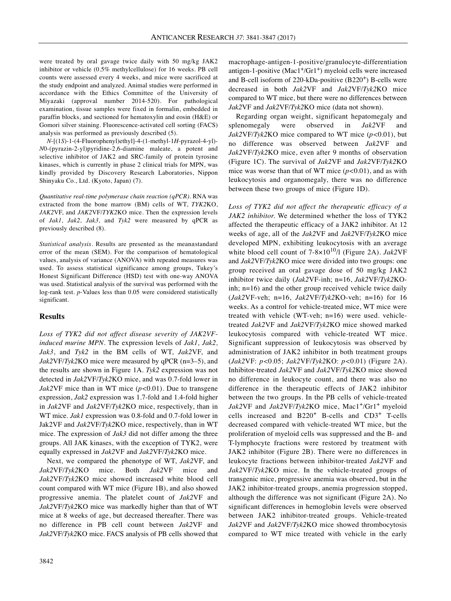were treated by oral gavage twice daily with 50 mg/kg JAK2 inhibitor or vehicle (0.5% methylcellulose) for 16 weeks. PB cell counts were assessed every 4 weeks, and mice were sacrificed at the study endpoint and analyzed. Animal studies were performed in accordance with the Ethics Committee of the University of Miyazaki (approval number 2014-520). For pathological examination, tissue samples were fixed in formalin, embedded in paraffin blocks, and sectioned for hematoxylin and eosin (H&E) or Gomori silver staining. Fluorescence-activated cell sorting (FACS) analysis was performed as previously described (5).

*N*-[(1*S*)-1-(4-Fluorophenyl)ethyl]-4-(1-methyl-1*H*-pyrazol-4-yl)- *N*0-(pyrazin-2-yl)pyridine-2,6-diamine maleate, a potent and selective inhibitor of JAK2 and SRC-family of protein tyrosine kinases, which is currently in phase 2 clinical trials for MPN, was kindly provided by Discovery Research Laboratories, Nippon Shinyaku Co., Ltd. (Kyoto, Japan) (7).

*Quantitative real-time polymerase chain reaction (qPCR).* RNA was extracted from the bone marrow (BM) cells of WT, *TYK2*KO, *JAK2*VF, and *JAK2*VF/*TYK2*KO mice. Then the expression levels of *Jak1, Jak2, Jak3,* and *Tyk2* were measured by qPCR as previously described (8).

*Statistical analysis.* Results are presented as the mean±standard error of the mean (SEM). For the comparison of hematological values, analysis of variance (ANOVA) with repeated measures was used. To assess statistical significance among groups, Tukey's Honest Significant Difference (HSD) test with one-way ANOVA was used. Statistical analysis of the survival was performed with the log-rank test. *p*-Values less than 0.05 were considered statistically significant.

#### **Results**

*Loss of TYK2 did not affect disease severity of JAK2VFinduced murine MPN.* The expression levels of *Jak1, Jak2, Jak3*, and *Tyk2* in the BM cells of WT, *Jak2*VF, and *Jak2*VF/*Tyk2*KO mice were measured by qPCR (n=3–5), and the results are shown in Figure 1A. *Tyk2* expression was not detected in *Jak2*VF/*Tyk2*KO mice, and was 0.7-fold lower in *Jak2*VF mice than in WT mice (*p<*0.01). Due to transgene expression, *Jak2* expression was 1.7-fold and 1.4-fold higher in *Jak2*VF and *Jak2*VF/*Tyk2*KO mice, respectively, than in WT mice. *Jak1* expression was 0.8-fold and 0.7-fold lower in Jak2VF and *Jak2*VF/*Tyk2*KO mice, respectively, than in WT mice. The expression of *Jak3* did not differ among the three groups. All JAK kinases, with the exception of TYK2, were equally expressed in *Jak2*VF and *Jak2*VF/*Tyk2*KO mice.

Next, we compared the phenotype of WT, *Jak2*VF, and *Jak2*VF/*Tyk2*KO mice. Both *Jak2*VF mice and *Jak2*VF/*Tyk2*KO mice showed increased white blood cell count compared with WT mice (Figure 1B), and also showed progressive anemia. The platelet count of *Jak2*VF and *Jak2*VF/*Tyk2*KO mice was markedly higher than that of WT mice at 8 weeks of age, but decreased thereafter. There was no difference in PB cell count between *Jak2*VF and *Jak2*VF/*Tyk2*KO mice. FACS analysis of PB cells showed that macrophage-antigen-1-positive/granulocyte-differentiation antigen-1-positive  $(Mac1<sup>+/</sup>Gr1<sup>+</sup>)$  myeloid cells were increased and B-cell isoform of 220-kDa-positive (B220<sup>+</sup>) B-cells were decreased in both *Jak2*VF and *Jak2*VF/*Tyk2*KO mice compared to WT mice, but there were no differences between *Jak2*VF and *Jak2*VF/*Tyk2*KO mice (data not shown).

Regarding organ weight, significant hepatomegaly and splenomegaly were observed in *Jak2*VF and *Jak2*VF/*Tyk2*KO mice compared to WT mice (*p<*0.01), but no difference was observed between *Jak2*VF and *Jak2*VF/*Tyk2*KO mice, even after 9 months of observation (Figure 1C). The survival of *Jak2*VF and *Jak2*VF/*Tyk2*KO mice was worse than that of WT mice (*p<*0.01), and as with leukocytosis and organomegaly, there was no difference between these two groups of mice (Figure 1D).

*Loss of TYK2 did not affect the therapeutic efficacy of a JAK2 inhibitor.* We determined whether the loss of TYK2 affected the therapeutic efficacy of a JAK2 inhibitor. At 12 weeks of age, all of the *Jak2*VF and *Jak2*VF/*Tyk2*KO mice developed MPN, exhibiting leukocytosis with an average white blood cell count of 7-8×1010/l (Figure 2A). *Jak2*VF and *Jak2*VF/*Tyk2*KO mice were divided into two groups: one group received an oral gavage dose of 50 mg/kg JAK2 inhibitor twice daily (*Jak2*VF-inh; n=16, *Jak2*VF/*Tyk2*KOinh; n=16) and the other group received vehicle twice daily (*Jak2*VF-veh; n=16, *Jak2*VF/*Tyk2*KO-veh; n=16) for 16 weeks. As a control for vehicle-treated mice, WT mice were treated with vehicle (WT-veh; n=16) were used. vehicletreated *Jak2*VF and *Jak2*VF/*Tyk2*KO mice showed marked leukocytosis compared with vehicle-treated WT mice. Significant suppression of leukocytosis was observed by administration of JAK2 inhibitor in both treatment groups (*Jak2*VF: *p<*0.05; *Jak2*VF/*Tyk2*KO: *p<*0.01) (Figure 2A). Inhibitor-treated *Jak2*VF and *Jak2*VF/*Tyk2*KO mice showed no difference in leukocyte count, and there was also no difference in the therapeutic effects of JAK2 inhibitor between the two groups. In the PB cells of vehicle-treated *Jak2*VF and *Jak2*VF/*Tyk2*KO mice, Mac1+/Gr1+ myeloid cells increased and B220<sup>+</sup> B-cells and CD3<sup>+</sup> T-cells decreased compared with vehicle-treated WT mice, but the proliferation of myeloid cells was suppressed and the B- and T-lymphocyte fractions were restored by treatment with JAK2 inhibitor (Figure 2B). There were no differences in leukocyte fractions between inhibitor-treated *Jak2*VF and *Jak2*VF/*Tyk2*KO mice. In the vehicle-treated groups of transgenic mice, progressive anemia was observed, but in the JAK2 inhibitor-treated groups, anemia progression stopped, although the difference was not significant (Figure 2A). No significant differences in hemoglobin levels were observed between JAK2 inhibitor-treated groups. Vehicle-treated *Jak2*VF and *Jak2*VF/*Tyk2*KO mice showed thrombocytosis compared to WT mice treated with vehicle in the early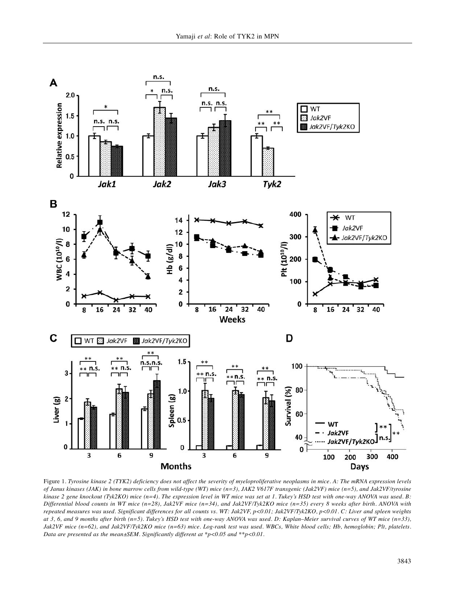

Figure 1. Tyrosine kinase 2 (TYK2) deficiency does not affect the severity of myeloproliferative neoplasms in mice. A: The mRNA expression levels of Janus kinases (JAK) in bone marrow cells from wild-type (WT) mice  $(n=3)$ , JAK2 V617F transgenic (Jak2VF) mice  $(n=5)$ , and Jak2VF/tyrosine kinase 2 gene knockout (Tyk2KO) mice  $(n=4)$ . The expression level in WT mice was set at 1. Tukey's HSD test with one-way ANOVA was used. B: Differential blood counts in WT mice (n=28), Jak2VF mice (n=34), and Jak2VF/Tyk2KO mice (n=35) every 8 weeks after birth. ANOVA with repeated measures was used. Significant differences for all counts vs. WT: Jak2VF, p<0.01; Jak2VF/Tyk2KO, p<0.01. C: Liver and spleen weights at 3, 6, and 9 months after birth ( $n=5$ ). Tukey's HSD test with one-way ANOVA was used. D: Kaplan-Meier survival curves of WT mice ( $n=33$ ), Jak2VF mice (n=62), and Jak2VF/Tyk2KO mice (n=63) mice. Log-rank test was used. WBCs, White blood cells; Hb, hemoglobin; Plt, platelets. *Data are presented as the mean±SEM. Significantly different at \*p<0.05 and \*\*p<0.01.*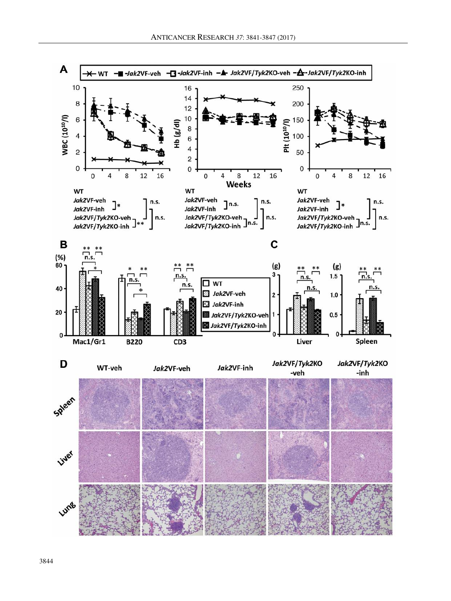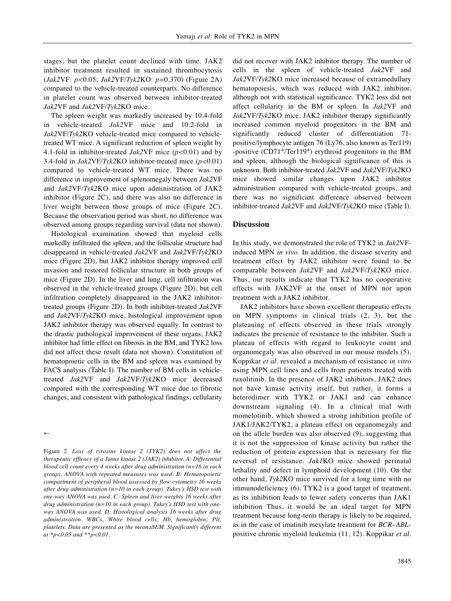stages, but the platelet count declined with time. JAK2 inhibitor treatment resulted in sustained thrombocytosis (*Jak2*VF: *p<*0.05; *Jak2*VF/*Tyk2*KO: *p=*0.370) (Figure 2A) compared to the vehicle-treated counterparts. No difference in platelet count was observed between inhibitor-treated *Jak2*VF and *Jak2*VF/*Tyk2*KO mice.

The spleen weight was markedly increased by 10.4-fold in vehicle-treated *Jak2*VF mice and 10.2-fold in *Jak2*VF/*Tyk2*KO vehicle-treated mice compared to vehicletreated WT mice. A significant reduction of spleen weight by 4.1-fold in inhibitor-treated *Jak2*VF mice (*p<*0.01) and by 3.4-fold in *Jak2*VF/*Tyk2*KO inhibitor-treated mice (*p<*0.01) compared to vehicle-treated WT mice. There was no difference in improvement of splenomegaly between *Jak2*VF and *Jak2*VF/*Tyk2*KO mice upon administration of JAK2 inhibitor (Figure 2C), and there was also no difference in liver weight between those groups of mice (Figure 2C). Because the observation period was short, no difference was observed among groups regarding survival (data not shown).

Histological examination showed that myeloid cells markedly infiltrated the spleen, and the follicular structure had disappeared in vehicle-treated *Jak2*VF and *Jak2*VF/*Tyk2*KO mice (Figure 2D), but JAK2 inhibitor therapy improved cell invasion and restored follicular structure in both groups of mice (Figure 2D). In the liver and lung, cell infiltration was observed in the vehicle-treated groups (Figure 2D), but cell infiltration completely disappeared in the JAK2 inhibitortreated groups (Figure 2D). In both inhibitor-treated *Jak2*VF and *Jak2*VF/*Tyk2*KO mice, histological improvement upon JAK2 inhibitor therapy was observed equally. In contrast to the drastic pathological improvement of these organs, JAK2 inhibitor had little effect on fibrosis in the BM, and TYK2 loss did not affect these result (data not shown). Constitution of hematopoietic cells in the BM and spleen was examined by FACS analysis (Table I). The number of BM cells in vehicletreated *Jak2*VF and *Jak2*VF/*Tyk2*KO mice decreased compared with the corresponding WT mice due to fibrotic changes, and consistent with pathological findings, cellularity

→

Figure 2. *Loss of tyrosine kinase 2 (TYK2) does not affect the therapeutic efficacy of a Janus kinase 2 (JAK2) inhibitor. A: Differential blood cell count every 4 weeks after drug administration (n=16 in each group). ANOVA with repeated measures was used. B: Hematopoietic compartment of peripheral blood assessed by flow cytometry 16 weeks after drug administration (n=10 in each group). Tukey's HSD test with one-way ANOVA was used. C: Spleen and liver weights 16 weeks after drug administration (n=10 in each group). Tukey's HSD test with oneway ANOVA was used. D: Histological analysis 16 weeks after drug administration. WBCs, White blood cells; Hb, hemoglobin; Plt, platelets. Data are presented as the mean±SEM. Significantly different at \*p<0.05 and \*\*p<0.01.*

did not recover with JAK2 inhibitor therapy. The number of cells in the spleen of vehicle-treated *Jak2*VF and *Jak2*VF/*Tyk2*KO mice increased because of extramedullary hematopoiesis, which was reduced with JAK2 inhibitor, although not with statistical significance. TYK2 loss did not affect cellularity in the BM or spleen. In *Jak2*VF and *Jak2*VF/*Tyk2*KO mice, JAK2 inhibitor therapy significantly increased common myeloid progenitors in the BM and significantly reduced cluster of differentiation 71 positive/lymphocyte antigen 76 (Ly76, also known as Ter119) -positive (CD71+/Ter119+) erythroid progenitors in the BM and spleen, although the biological significance of this is unknown. Both inhibitor-treated *Jak2*VF and *Jak2*VF/*Tyk2*KO mice showed similar changes upon JAK2 inhibitor administration compared with vehicle-treated groups, and there was no significant difference observed between inhibitor-treated *Jak2*VF and *Jak2*VF/*Tyk2*KO mice (Table I).

#### **Discussion**

In this study, we demonstrated the role of TYK2 in *Jak2*VFinduced MPN *in vivo*. In addition, the disease severity and treatment effect by JAK2 inhibitor were found to be comparable between *Jak2*VF and *Jak2*VF/*Tyk2*KO mice. Thus, our results indicate that TYK2 has no cooperative effects with JAK2VF at the onset of MPN nor upon treatment with a JAK2 inhibitor.

JAK2 inhibitors have shown excellent therapeutic effects on MPN symptoms in clinical trials (2, 3), but the plateauing of effects observed in these trials strongly indicates the presence of resistance to the inhibitor. Such a plateau of effects with regard to leukocyte count and organomegaly was also observed in our mouse models (5). Koppikar *et al.* revealed a mechanism of resistance *in vitro* using MPN cell lines and cells from patients treated with ruxolitinib. In the presence of JAK2 inhibitors, JAK2 does not have kinase activity itself, but rather, it forms a heterodimer with TYK2 or JAK1 and can enhance downstream signaling (4). In a clinical trial with momelotinib, which showed a strong inhibition profile of JAK1/JAK2/TYK2, a plateau effect on organomegaly and on the allele burden was also observed (9), suggesting that it is not the suppression of kinase activity but rather the reduction of protein expression that is necessary for the reversal of resistance. *Jak1*KO mice showed perinatal lethality and defect in lymphoid development (10). On the other hand, *Tyk2*KO mice survived for a long time with no immunodeficiency (6). TYK2 is a good target of treatment, as its inhibition leads to fewer safety concerns than JAK1 inhibition Thus, it would be an ideal target for MPN treatment because long-term therapy is likely to be required, as in the case of imatinib mesylate treatment for *BCR–ABL*positive chronic myeloid leukemia (11, 12). Koppikar *et al.*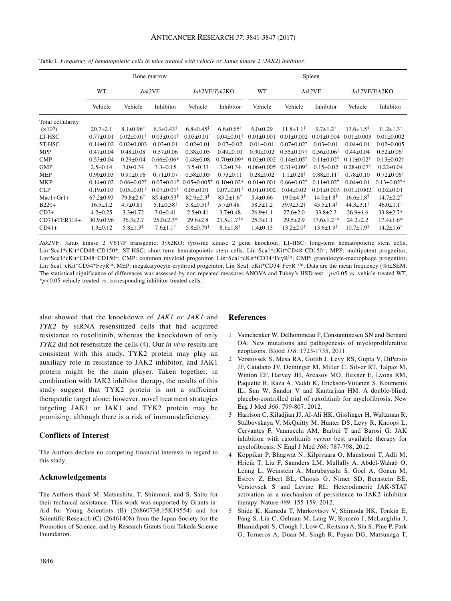|                   | Bone marrow     |                             |                           |                             |                              | Spleen           |                           |                              |                             |                             |
|-------------------|-----------------|-----------------------------|---------------------------|-----------------------------|------------------------------|------------------|---------------------------|------------------------------|-----------------------------|-----------------------------|
|                   | WT              |                             | Jak2VF                    | Jak2VF/Tyk2KO               |                              | WT               |                           | Jak2VF                       | Jak2VF/Tyk2KO               |                             |
|                   | Vehicle         | Vehicle                     | Inhibitor                 | Vehicle                     | Inhibitor                    | Vehicle          | Vehicle                   | Inhibitor                    | Vehicle                     | Inhibitor                   |
| Total cellularity |                 |                             |                           |                             |                              |                  |                           |                              |                             |                             |
| $(x10^6)$         | $20.7 \pm 2.1$  | $8.1 \pm 0.96^{\dagger}$    | $6.3 \pm 0.43^{\dagger}$  | $6.8 \pm 0.45^{\dagger}$    | $6.6 \pm 0.65^{\dagger}$     | $6.0 \pm 0.29$   | $11.8 \pm 1.1^{\dagger}$  | $9.7 \pm 1.2^{\dagger}$      | $13.6 \pm 1.5$ <sup>†</sup> | $11.2 \pm 1.3^{\dagger}$    |
| LT-HSC            | $0.77 + 0.01$   | $0.02 \pm 0.01^{\dagger}$   | $0.03 \pm 0.01^{\dagger}$ | $0.03 \pm 0.01^{\dagger}$   | $0.04 \pm 0.01^{\dagger}$    | $0.01 \pm 0.001$ | $0.01 \pm 0.002$          | $0.01 \pm 0.004$             | $0.01 \pm 0.003$            | $0.01 \pm 0.002$            |
| ST-HSC            | $0.14 \pm 0.02$ | $0.02 \pm 0.003$            | $0.03 \pm 0.01$           | $0.02 \pm 0.01$             | $0.07 + 0.02$                | $0.01 \pm 0.01$  | $0.07 \pm 0.02^{\dagger}$ | $0.03 \pm 0.01$              | $0.04 \pm 0.01$             | $0.02 \pm 0.005$            |
| MPP               | $0.47 \pm 0.04$ | $0.48 \pm 0.08$             | $0.57 \pm 0.06$           | $0.38 \pm 0.05$             | $0.49 \pm 0.10$              | $0.30 \pm 0.02$  | $0.55 \pm 0.07$ †         | $0.56 \pm 0.06^{\dagger}$    | $0.44 \pm 0.04$             | $0.52 \pm 0.06^{\dagger}$   |
| <b>CMP</b>        | $0.53 \pm 0.04$ | $0.29 \pm 0.04$             | $0.66 \pm 0.06*$          | $0.48 + 0.08$               | $0.70 \pm 0.09*$             | $0.02 \pm 0.002$ | $0.14 \pm 0.05^{\dagger}$ | $0.11 \pm 0.02^{\dagger}$    | $0.11 \pm 0.02^{\dagger}$   | $0.13 \pm 0.02$ †           |
| <b>GMP</b>        | $2.5 \pm 0.14$  | $3.0 \pm 0.34$              | $3.3 \pm 0.15$            | $3.5 \pm 0.33$              | $3.2 \pm 0.34$               | $0.06 \pm 0.005$ | $0.31 \pm 0.09^+$         | $0.15 \pm 0.02$              | $0.28 \pm 0.07^{\dagger}$   | $0.22 \pm 0.04$             |
| <b>MEP</b>        | $0.90 \pm 0.03$ | $0.91 \pm 0.16$             | $0.71 \pm 0.07$           | $0.58 + 0.05$               | $0.73 \pm 0.11$              | $0.28 \pm 0.02$  | $1.1 \pm 0.28^{\dagger}$  | $0.88 \pm 0.11^{\dagger}$    | $0.78 \pm 0.10$             | $0.72 \pm 0.06^{\dagger}$   |
| <b>MKP</b>        | $0.14 \pm 0.02$ | $0.06 \pm 0.02^{\dagger}$   | $0.07 \pm 0.01^{\dagger}$ | $0.05 \pm 0.005^{\dagger}$  | $0.10 \pm 0.02*$             | $0.01 \pm 0.001$ | $0.66 \pm 0.02^{\dagger}$ | $0.11 \pm 0.02^{\dagger}$    | $0.04 \pm 0.01$             | $0.13 \pm 0.02^{\dagger}$ * |
| <b>CLP</b>        | $0.19 \pm 0.03$ | $0.05 \pm 0.01^+$           | $0.07 \pm 0.01^+$         | $0.05 \pm 0.01^+$           | $0.07 \pm 0.01$ <sup>†</sup> | $0.01 \pm 0.002$ | $0.04 \pm 0.02$           | $0.01 \pm 0.003$             | $0.01 \pm 0.002$            | $0.02 \pm 0.01$             |
| $Mac1+Gr1+$       | $67.2 \pm 0.93$ | $79.8 \pm 2.6$ <sup>†</sup> | $85.4 \pm 0.53^{\dagger}$ | $82.9 \pm 2.3^{\dagger}$    | $83.2 \pm 1.6^{\dagger}$     | $5.4 \pm 0.66$   | $19.0\pm4.3^{\dagger}$    | $14.0 \pm 1.8^{\dagger}$     | $16.6 \pm 1.8$ <sup>†</sup> | $14.7 \pm 2.2^{\dagger}$    |
| $B220+$           | $16.5 \pm 1.2$  | $4.7 \pm 0.81^{\dagger}$    | $5.1 \pm 0.58^{\dagger}$  | $3.8 \pm 0.51^{\dagger}$    | $5.7 \pm 0.48^{\dagger}$     | $58.3 \pm 1.2$   | $39.9 \pm 3.2$ †          | $45.5 \pm 1.4^{\dagger}$     | $44.3 \pm 3.1^{\dagger}$    | $46.0 \pm 1.1^{\dagger}$    |
| $CD3+$            | $4.2 \pm 0.25$  | $3.3 \pm 0.72$              | $3.0+0.41$                | $2.5 \pm 0.41$              | $3.7 \pm 0.48$               | $26.9 \pm 1.1$   | $27.6 \pm 2.0$            | $33.8 \pm 2.3$               | $26.9 \pm 1.6$              | $33.8 \pm 2.7*$             |
| CD71+TER119+      | $30.9 \pm 0.96$ | $36.3 \pm 2.7$              | $25.0 \pm 2.3*$           | $29.6 \pm 2.8$              | $21.5 \pm 1.7$ <sup>†*</sup> | $25.3 \pm 1.1$   | $29.5 \pm 2.9$            | $17.6 \pm 1.2$ <sup>†*</sup> | $24.2 \pm 2.2$              | $17.4 \pm 1.6*$             |
| $CD41+$           | $1.3 \pm 0.12$  | $5.8 \pm 1.3$ <sup>†</sup>  | $7.6 \pm 1.1^{\dagger}$   | $5.8 \pm 0.79$ <sup>†</sup> | $8.1 \pm 1.8$ <sup>†</sup>   | $1.4 \pm 0.13$   | $13.2 \pm 2.0^{\dagger}$  | $13.6 \pm 1.9^{\dagger}$     | $10.7 \pm 1.9$ <sup>†</sup> | $14.2 \pm 1.6^{\dagger}$    |

Table I. *Frequency of hematopoietic cells in mice treated with vehicle or Janus kinase 2 (JAK2) inhibitor.*

*Jak2*VF: Janus kinase 2 V617F transgenic; *Tyk2*KO: tyrosine kinase 2 gene knockout; LT-HSC: long-term hematopoietic stem cells, Lin–Sca1+cKit+CD48–CD150+; ST-HSC: short-term hematopoietic stem cells, Lin–Sca1+cKit+CD48–CD150–; MPP: multipotent progenitor, Lin-Sca1+cKit+CD48+CD150-; CMP: common myeloid progenitor, Lin-Sca1-cKit+CD34+FcγR<sup>lo</sup>; GMP: granulocyte-macrophage progenitor, Lin<sup>–</sup>Sca1<sup>–</sup>cKit<sup>+</sup>CD34+FcγR<sup>hi</sup>; MEP: megakaryocyte-erythroid progenitor, Lin<sup>–</sup>Sca1<sup>–</sup>cKit<sup>+</sup>CD34<sup>–</sup>FcγR<sup>–/lo</sup>. Data are the mean frequency (%)±SEM. The statistical significance of differences was assessed by non-repeated measures ANOVA and Tukey's HSD test: †*p<*0.05 *vs.* vehicle-treated WT, \**p<*0.05 vehicle-treated *vs.* corresponding inhibitor-treated cells.

also showed that the knockdown of *JAK1 or JAK1* and *TYK2* by siRNA resensitized cells that had acquired resistance to ruxolitinib, whereas the knockdown of only *TYK2* did not resensitize the cells (4). Our *in vivo* results are consistent with this study. TYK2 protein may play an auxiliary role in resistance to JAK2 inhibitor, and JAK1 protein might be the main player. Taken together, in combination with JAK2 inhibitor therapy, the results of this study suggest that TYK2 protein is not a sufficient therapeutic target alone; however, novel treatment strategies targeting JAK1 or JAK1 and TYK2 protein may be promising, although there is a risk of immunodeficiency.

# **Conflicts of Interest**

The Authors declare no competing financial interests in regard to this study.

### **Acknowledgements**

The Authors thank M. Matsushita, T. Shinmori, and S. Saito for their technical assistance. This work was supported by Grants-in-Aid for Young Scientists (B) (26860738,15K19554) and for Scientific Research (C) (26461408) from the Japan Society for the Promotion of Science, and by Research Grants from Takeda Science Foundation.

#### **References**

- 1 Vainchenker W, Delhommeau F, Constantinescu SN and Bernard OA: New mutations and pathogenesis of myeloproliferative neoplasms. Blood *118*: 1723-1735, 2011.
- 2 Verstovsek S, Mesa RA, Gotlib J, Levy RS, Gupta V, DiPersio JF, Catalano JV, Deininger M, Miller C, Silver RT, Talpaz M, Winton EF, Harvey JH, Arcasoy MO, Hexner E, Lyons RM, Paquette R, Raza A, Vaddi K, Erickson-Viitanen S, Koumenis IL, Sun W, Sandor V and Kantarjian HM: A double-blind, placebo-controlled trial of ruxolitinib for myelofibrosis. New Eng J Med *366*: 799-807, 2012.
- 3 Harrison C, Kiladjian JJ, Al-Ali HK, Gisslinger H, Waltzman R, Stalbovskaya V, McQuitty M, Hunter DS, Levy R, Knoops L, Cervantes F, Vannucchi AM, Barbui T and Barosi G: JAK inhibition with ruxolitinib *versus* best available therapy for myelofibrosis. N Engl J Med *366*: 787-798, 2012.
- 4 Koppikar P, Bhagwat N, Kilpivaara O, Manshouri T, Adli M, Hricik T, Liu F, Saunders LM, Mullally A, Abdel-Wahab O, Leung L, Weinstein A, Marubayashi S, Goel A, Gonen M, Estrov Z, Ebert BL, Chiosis G, Nimer SD, Bernstein BE, Verstovsek S and Levine RL: Heterodimeric JAK-STAT activation as a mechanism of persistence to JAK2 inhibitor therapy. Nature *489*: 155-159, 2012.
- 5 Shide K, Kameda T, Markovtsov V, Shimoda HK, Tonkin E, Fang S, Liu C, Gelman M, Lang W, Romero J, McLaughlin J, Bhamidipati S, Clough J, Low C, Reitsma A, Siu S, Pine P, Park G, Torneros A, Duan M, Singh R, Payan DG, Matsunaga T,